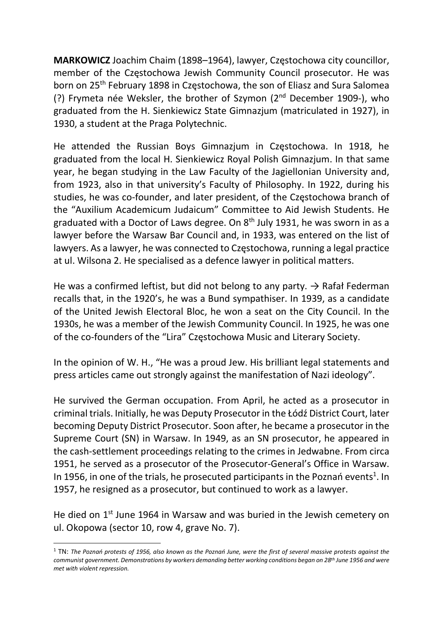MARKOWICZ Joachim Chaim (1898–1964), lawyer, Częstochowa city councillor, member of the Częstochowa Jewish Community Council prosecutor. He was born on 25<sup>th</sup> February 1898 in Czestochowa, the son of Eliasz and Sura Salomea (?) Frymeta née Weksler, the brother of Szymon (2nd December 1909-), who graduated from the H. Sienkiewicz State Gimnazjum (matriculated in 1927), in 1930, a student at the Praga Polytechnic.

He attended the Russian Boys Gimnazjum in Częstochowa. In 1918, he graduated from the local H. Sienkiewicz Royal Polish Gimnazjum. In that same year, he began studying in the Law Faculty of the Jagiellonian University and, from 1923, also in that university's Faculty of Philosophy. In 1922, during his studies, he was co-founder, and later president, of the Częstochowa branch of the "Auxilium Academicum Judaicum" Committee to Aid Jewish Students. He graduated with a Doctor of Laws degree. On  $8<sup>th</sup>$  July 1931, he was sworn in as a lawyer before the Warsaw Bar Council and, in 1933, was entered on the list of lawyers. As a lawyer, he was connected to Częstochowa, running a legal practice at ul. Wilsona 2. He specialised as a defence lawyer in political matters.

He was a confirmed leftist, but did not belong to any party.  $\rightarrow$  Rafał Federman recalls that, in the 1920's, he was a Bund sympathiser. In 1939, as a candidate of the United Jewish Electoral Bloc, he won a seat on the City Council. In the 1930s, he was a member of the Jewish Community Council. In 1925, he was one of the co-founders of the "Lira" Częstochowa Music and Literary Society.

In the opinion of W. H., "He was a proud Jew. His brilliant legal statements and press articles came out strongly against the manifestation of Nazi ideology".

He survived the German occupation. From April, he acted as a prosecutor in criminal trials. Initially, he was Deputy Prosecutor in the Łódź District Court, later becoming Deputy District Prosecutor. Soon after, he became a prosecutor in the Supreme Court (SN) in Warsaw. In 1949, as an SN prosecutor, he appeared in the cash-settlement proceedings relating to the crimes in Jedwabne. From circa 1951, he served as a prosecutor of the Prosecutor-General's Office in Warsaw. In 1956, in one of the trials, he prosecuted participants in the Poznań events<sup>1</sup>. In 1957, he resigned as a prosecutor, but continued to work as a lawyer.

He died on 1<sup>st</sup> June 1964 in Warsaw and was buried in the Jewish cemetery on ul. Okopowa (sector 10, row 4, grave No. 7).

 $^1$  TN: The Poznań protests of 1956, also known as the Poznań June, were the first of several massive protests against the communist government. Demonstrations by workers demanding better working conditions began on 28<sup>th</sup> June 1956 and were met with violent repression.